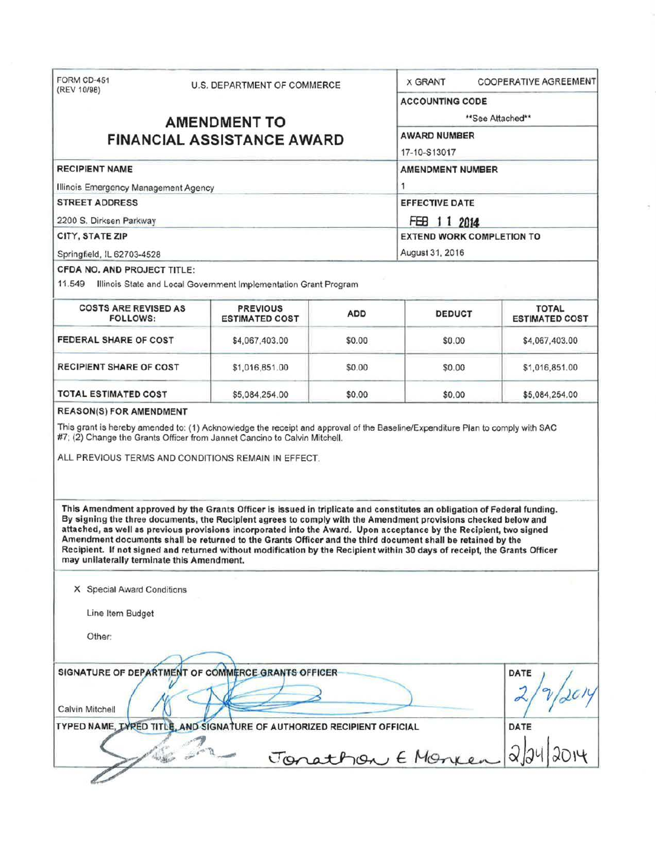| (REV 10/98)                                                                                                                                                                                                                                                                                                                                                                                                                                                                                                                    | U.S. DEPARTMENT OF COMMERCE              |                            | <b>X GRANT</b>                   | <b>COOPERATIVE AGREEMENT</b>          |  |
|--------------------------------------------------------------------------------------------------------------------------------------------------------------------------------------------------------------------------------------------------------------------------------------------------------------------------------------------------------------------------------------------------------------------------------------------------------------------------------------------------------------------------------|------------------------------------------|----------------------------|----------------------------------|---------------------------------------|--|
|                                                                                                                                                                                                                                                                                                                                                                                                                                                                                                                                |                                          |                            | <b>ACCOUNTING CODE</b>           |                                       |  |
|                                                                                                                                                                                                                                                                                                                                                                                                                                                                                                                                | <b>AMENDMENT TO</b>                      | **See Attached**           |                                  |                                       |  |
|                                                                                                                                                                                                                                                                                                                                                                                                                                                                                                                                | <b>FINANCIAL ASSISTANCE AWARD</b>        |                            | <b>AWARD NUMBER</b>              |                                       |  |
|                                                                                                                                                                                                                                                                                                                                                                                                                                                                                                                                |                                          |                            | 17-10-S13017                     |                                       |  |
| <b>RECIPIENT NAME</b>                                                                                                                                                                                                                                                                                                                                                                                                                                                                                                          |                                          |                            | <b>AMENDMENT NUMBER</b>          |                                       |  |
| Illinois Emergency Management Agency                                                                                                                                                                                                                                                                                                                                                                                                                                                                                           |                                          | 1<br><b>EFFECTIVE DATE</b> |                                  |                                       |  |
| <b>STREET ADDRESS</b>                                                                                                                                                                                                                                                                                                                                                                                                                                                                                                          |                                          |                            |                                  |                                       |  |
| 2200 S. Dirksen Parkway                                                                                                                                                                                                                                                                                                                                                                                                                                                                                                        |                                          |                            | FEB 1 1 2014                     |                                       |  |
| CITY, STATE ZIP                                                                                                                                                                                                                                                                                                                                                                                                                                                                                                                |                                          |                            | <b>EXTEND WORK COMPLETION TO</b> |                                       |  |
| Springfield, IL 62703-4528                                                                                                                                                                                                                                                                                                                                                                                                                                                                                                     |                                          |                            | August 31, 2016                  |                                       |  |
| CFDA NO. AND PROJECT TITLE:<br>11.549 Illinois State and Local Government Implementation Grant Program                                                                                                                                                                                                                                                                                                                                                                                                                         |                                          |                            |                                  |                                       |  |
| <b>COSTS ARE REVISED AS</b><br><b>FOLLOWS:</b>                                                                                                                                                                                                                                                                                                                                                                                                                                                                                 | <b>PREVIOUS</b><br><b>ESTIMATED COST</b> | <b>ADD</b>                 | <b>DEDUCT</b>                    | <b>TOTAL</b><br><b>ESTIMATED COST</b> |  |
| <b>FEDERAL SHARE OF COST</b>                                                                                                                                                                                                                                                                                                                                                                                                                                                                                                   | \$4,067,403.00                           | \$0.00                     | \$0.00                           | \$4,067,403.00                        |  |
| <b>RECIPIENT SHARE OF COST</b>                                                                                                                                                                                                                                                                                                                                                                                                                                                                                                 | \$1,016,851.00                           | \$0.00                     | \$0.00                           | \$1,016,851.00                        |  |
| TOTAL ESTIMATED COST                                                                                                                                                                                                                                                                                                                                                                                                                                                                                                           | \$5,084,254.00                           | \$0.00                     | \$0.00                           | \$5,084,254.00                        |  |
|                                                                                                                                                                                                                                                                                                                                                                                                                                                                                                                                |                                          |                            |                                  |                                       |  |
| This grant is hereby amended to: (1) Acknowledge the receipt and approval of the Baseline/Expenditure Plan to comply with SAC<br>#7; (2) Change the Grants Officer from Jannet Cancino to Calvin Mitchell.<br>ALL PREVIOUS TERMS AND CONDITIONS REMAIN IN EFFECT.<br>This Amendment approved by the Grants Officer is issued in triplicate and constitutes an obligation of Federal funding.                                                                                                                                   |                                          |                            |                                  |                                       |  |
|                                                                                                                                                                                                                                                                                                                                                                                                                                                                                                                                |                                          |                            |                                  |                                       |  |
| X Special Award Conditions                                                                                                                                                                                                                                                                                                                                                                                                                                                                                                     |                                          |                            |                                  |                                       |  |
| Line Item Budget                                                                                                                                                                                                                                                                                                                                                                                                                                                                                                               |                                          |                            |                                  |                                       |  |
| Other:                                                                                                                                                                                                                                                                                                                                                                                                                                                                                                                         |                                          |                            |                                  |                                       |  |
|                                                                                                                                                                                                                                                                                                                                                                                                                                                                                                                                |                                          |                            |                                  |                                       |  |
|                                                                                                                                                                                                                                                                                                                                                                                                                                                                                                                                |                                          |                            |                                  | DATE                                  |  |
|                                                                                                                                                                                                                                                                                                                                                                                                                                                                                                                                |                                          |                            |                                  |                                       |  |
| By signing the three documents, the Recipient agrees to comply with the Amendment provisions checked below and<br>attached, as well as previous provisions incorporated into the Award. Upon acceptance by the Recipient, two signed<br>Amendment documents shall be returned to the Grants Officer and the third document shall be retained by the<br>Recipient. If not signed and returned without modification by the Recipient within 30 days of receipt, the Grants Officer<br>may unilaterally terminate this Amendment. |                                          |                            |                                  | DATE                                  |  |
| SIGNATURE OF DEPARTMENT OF COMMERCE GRANTS OFFICER<br>Calvin Mitchell<br>TYPED NAME, TYPED TITLE, AND SIGNATURE OF AUTHORIZED RECIPIENT OFFICIAL<br>Sugar                                                                                                                                                                                                                                                                                                                                                                      |                                          |                            | Jonathon E Monken                |                                       |  |